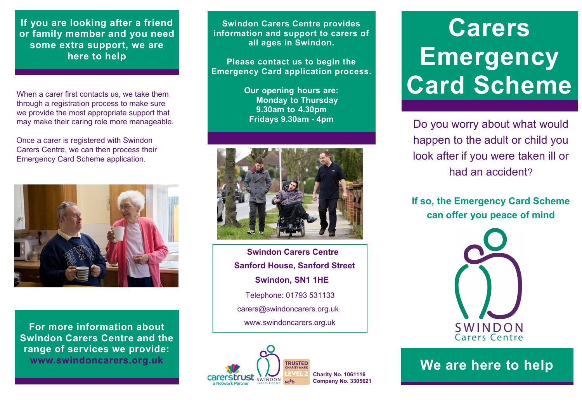**If you are looking after a friend or family member and you need some extra support, we are here to help**

When a carer first contacts us, we take them through a registration process to make sure we provide the most appropriate support that may make their caring role more manageable.

Once a carer is registered with Swindon Carers Centre, we can then process their Emergency Card Scheme application.



**For more information about Swindon Carers Centre and the range of services we provide:**

**Swindon Carers Centre provides information and support to carers of all ages in Swindon.**

**Please contact us to begin the Emergency Card application process.**

> **Our opening hours are: Monday to Thursday 9.30am to 4.30pm Fridays 9.30am - 4pm**



**Swindon Carers Centre Sanford House, Sanford Street Swindon, SN1 1HE**  carers@swindoncarers.org.uk www.swindoncarers.org.uk Telephone: 01793 531133



## **Carers Emergency Card Scheme**

Do you worry about what would happen to the adult or child you look after if you were taken ill or had an accident?

**If so, the Emergency Card Scheme can offer you peace of mind**